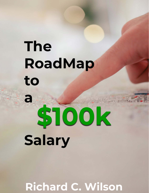## **The** *The 3 Step Workbook for Making \$100,000 a Year* to

# a STOOK Salary

**Richard C. Wilson**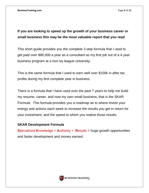### **If you are looking to speed up the growth of your business career or small business this may be the most valuable report that you read**.

This short guide provides you the complete 3 step formula that I used to get paid over \$80,000 a year as a consultant as my first job out of a 4 year business program at a non-ivy league university.

This is the same formula that I used to earn well over \$100k in after tax profits during my first complete year in business.

There is a formula that I have used over the past 7 years to help me build my resume, career, and now my own small business, that is the SKAR Formula. This formula provides you a roadmap as to where invest your energy and actions each week to increase the results you get in return for your investment, and the speed to which you realize those results.

#### **SKAR Development Formula**

**S**pecialized **K**nowledge + **A**uthority + **R**esults = huge growth opportunities and faster development and money earned.



**BUSINESS TRAINING**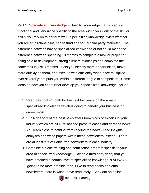**Part 1: Specialized Knowledge** = Specific knowledge that is practical, functional and very niche specific to the area within you work or the skill or ability you rely on to perform well. Specialized knowledge exists whether you are an airplane pilot, hedge fund analyst, or third party marketer. The difference between having specialized knowledge or not could mean the difference between spending 18 months to complete a task or project or being able to development strong client relationships and complete the same task in just 3 months. It lets you identify more opportunities, move more quickly on them, and execute with efficiency when once multiplied over several years puts you within a different league of competition. Some ideas on how you can further develop your specialized knowledge include:

- 1. Read two books/month for the next two years on the area of specialized knowledge which is going to benefit your business or career most.
- 2. Subscribe to 3 of the best newsletters from blogs or experts in your industry which are NOT re-hashed press releases and garbage news. You learn close to nothing from reading the news - read insights, analyses and white papers within these newsletters instead. There are at least 2-3 valuable free newsletters in each industry.
- 3. Complete a niche training and certification program specific to your area of specialized knowledge. Having a third party verify that you have obtained a certain level of specialized knowledge is ALWAYS going to be more credible than, I like to read books and email newsletters, here is what I have read lately. Seek out an online



**BT** BUSINESS TRAINING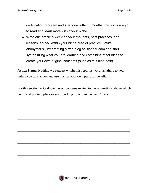certification program and start one within 6 months, this will force you to read and learn more within your niche.

4. Write one article a week on your thoughts, best practices, and lessons learned within your niche area of practice. Write anonymously by creating a free blog at Blogger.com and start synthesizing what you are learning and combining other ideas to create your own original concepts (such as this blog post).

**Action Items:** Nothing we suggest within this report is worth anything to you unless you take action and use this for your own personal benefit.

For this section write down the action items related to the suggestions above which you could put into place or start working on within the next 3 days:

 $\overline{\phantom{a}}$  , and the contract of the contract of the contract of the contract of the contract of the contract of the contract of the contract of the contract of the contract of the contract of the contract of the contrac

 $\overline{\phantom{a}}$  , and the contract of the contract of the contract of the contract of the contract of the contract of the contract of the contract of the contract of the contract of the contract of the contract of the contrac

 $\overline{\phantom{a}}$  , and the contract of the contract of the contract of the contract of the contract of the contract of the contract of the contract of the contract of the contract of the contract of the contract of the contrac

 $\overline{\phantom{a}}$  , and the contract of the contract of the contract of the contract of the contract of the contract of the contract of the contract of the contract of the contract of the contract of the contract of the contrac

 $\_$  , and the set of the set of the set of the set of the set of the set of the set of the set of the set of the set of the set of the set of the set of the set of the set of the set of the set of the set of the set of th

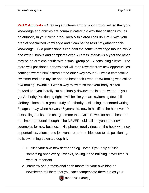**Part 2 Authority** = Creating structures around your firm or self so that your knowledge and abilities are communicated in a way that positions you as an authority in your niche area. Ideally this area lines up 1-to-1 with your area of specialized knowledge and it can be the result of gathering this knowledge. Two professionals can hold the same knowledge though, while one write 5 books and completes over 50 press interviews a year the other may be an arm chair critic with a small group of 5-7 consulting clients. The more well positioned professional will reap rewards from new opportunities coming towards him instead of the other way around. I was a competitive swimmer earlier in my life and the best book I read on swimming was called "Swimming Downhill" it was a way to swim so that your body is tilted forward and you literally cut continually downwards into the water. If you get Authority Positioning right it will be like you are swimming downhill. Jeffrey Gitomer is a great study of authority positioning, he started writing 8 pages a day when he was 46 years old, now in his fifties he has over 10 bestselling books, and charges more than Colin Powell for speeches - the real important detail though is he NEVER cold calls anyone and never scrambles for new business. His phone literally rings off the hook with new opportunities, clients, and join venture partnerships due to his positioning, he is swimming down a steep hill.

- 1. Publish your own newsletter or blog even if you only publish something once every 2 weeks, having it and building it over time is what is important.
- 2. Interview one professional each month for your own blog or newsletter, tell them that you can't compensate them but as your



**BT BUSINESS TRAINING**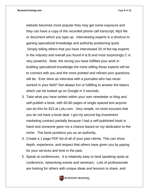**BusinessTraining.com** Page **6** of **11**

website becomes more popular they may get some exposure and they can have a copy of the recorded phone call transcript, Mp3 file or document which you type up. Interviewing experts is a shortcut to gaining specialized knowledge and authority positioning quick. Simply telling others that you have interviewed 20 of the top experts in the industry and overall you found A & B and most surprisingly C is very powerful. Note, the strong you have fulfilled your work in building specialized knowledge the more willing these experts will be to connect with you and the more pointed and refined your questions will be. Ever done an interview with a journalist who has never worked in your field? Not always fun or fulfilling to answer the basics which can be looked up on Google in 3 seconds.

- 3. Take what you have written within your own newsletter or blog and self-publish a book, with 60-80 pages of single spaced text anyone can do this for \$15 at Lulu.com. Very simple, no more excuses that you do not have a book deal. I got my second big investment marketing contract partially because I had a self-published book in hand and someone gave me a chance based on my dedication to the niche. The book positions you as an authority.
- 4. Create a 1 page PDF list of all of your past clients. This can show depth, experience, and respect that others have given you by paying for your services and time in the past.
- 5. Speak at conferences. It is relatively easy to land speaking spots at conference, networking events and seminars. Lots of professionals are looking for others with unique ideas and lessons to share, and



**BUSINESS TRAINING**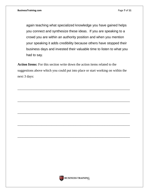again teaching what specialized knowledge you have gained helps you connect and synthesize these ideas. If you are speaking to a crowd you are within an authority position and when you mention your speaking it adds credibility because others have stopped their business days and invested their valuable time to listen to what you had to say.

**Action Items:** For this section write down the action items related to the suggestions above which you could put into place or start working on within the next 3 days:

 $\_$  , and the set of the set of the set of the set of the set of the set of the set of the set of the set of the set of the set of the set of the set of the set of the set of the set of the set of the set of the set of th

 $\_$  , and the set of the set of the set of the set of the set of the set of the set of the set of the set of the set of the set of the set of the set of the set of the set of the set of the set of the set of the set of th

 $\overline{\phantom{a}}$  , and the contract of the contract of the contract of the contract of the contract of the contract of the contract of the contract of the contract of the contract of the contract of the contract of the contrac

 $\overline{\phantom{a}}$  , and the contract of the contract of the contract of the contract of the contract of the contract of the contract of the contract of the contract of the contract of the contract of the contract of the contrac

 $\_$  , and the set of the set of the set of the set of the set of the set of the set of the set of the set of the set of the set of the set of the set of the set of the set of the set of the set of the set of the set of th

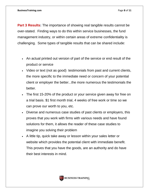**Part 3 Results:** The importance of showing real tangible results cannot be over-stated. Finding ways to do this within service businesses, the fund management industry, or within certain areas of extreme confidentiality is challenging. Some types of tangible results that can be shared include:

- An actual printed out version of part of the service or end result of the product or service
- Video or text (not as good) testimonials from past and current clients, the more specific to the immediate need or concern of your potential client or employer the better...the more numerous the testimonials the better.
- The first 15-20% of the product or your service given away for free on a trial basis. \$1 first month trial, 4 weeks of free work or time so we can prove our worth to you, etc.
- Diverse and numerous case studies of past clients or employers, this proves that you work with firms with various needs and have found solutions for them, it allows the reader of these case studies to imagine you solving their problem
- A little tip, quick take away or lesson within your sales letter or website which provides the potential client with immediate benefit. This proves that you have the goods, are an authority and do have their best interests in mind.

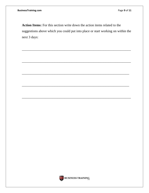**Action Items:** For this section write down the action items related to the suggestions above which you could put into place or start working on within the next 3 days:

\_\_\_\_\_\_\_\_\_\_\_\_\_\_\_\_\_\_\_\_\_\_\_\_\_\_\_\_\_\_\_\_\_\_\_\_\_\_\_\_\_\_\_\_\_\_\_\_\_\_\_\_\_\_\_\_\_\_\_\_\_\_\_\_

\_\_\_\_\_\_\_\_\_\_\_\_\_\_\_\_\_\_\_\_\_\_\_\_\_\_\_\_\_\_\_\_\_\_\_\_\_\_\_\_\_\_\_\_\_\_\_\_\_\_\_\_\_\_\_\_\_\_\_\_\_\_\_\_

\_\_\_\_\_\_\_\_\_\_\_\_\_\_\_\_\_\_\_\_\_\_\_\_\_\_\_\_\_\_\_\_\_\_\_\_\_\_\_\_\_\_\_\_\_\_\_\_\_\_\_\_\_\_\_\_\_\_\_\_\_\_\_

\_\_\_\_\_\_\_\_\_\_\_\_\_\_\_\_\_\_\_\_\_\_\_\_\_\_\_\_\_\_\_\_\_\_\_\_\_\_\_\_\_\_\_\_\_\_\_\_\_\_\_\_\_\_\_\_\_\_\_\_\_\_\_

\_\_\_\_\_\_\_\_\_\_\_\_\_\_\_\_\_\_\_\_\_\_\_\_\_\_\_\_\_\_\_\_\_\_\_\_\_\_\_\_\_\_\_\_\_\_\_\_\_\_\_\_\_\_\_\_\_\_\_\_\_\_\_\_

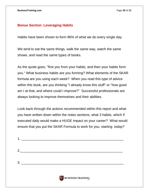#### **Bonus Section: Leveraging Habits**

Habits have been shown to form 96% of what we do every single day.

We tend to eat the same things, walk the same way, watch the same shows, and read the same types of books.

As the quote goes, "first you from your habits, and then your habits form you." What business habits are you forming? What elements of the SKAR formula are you using each week? When you read this type of advice within this book, are you thinking "I already know this stuff" or "how good am I at that, and where could I improve?" Successful professionals are always looking to improve themselves and their abilities.

Look back through the actions recommended within this report and what you have written down within the notes sections, what 3 habits, which if executed daily would make a HUGE impact on your career? What would ensure that you put the SKAR Formula to work for you, starting today?

| $2. \underline{\hspace{2cm}}$ |  |  |
|-------------------------------|--|--|
|                               |  |  |
|                               |  |  |

1. \_\_\_\_\_\_\_\_\_\_\_\_\_\_\_\_\_\_\_\_\_\_\_\_\_\_\_\_\_\_\_\_\_\_\_\_\_\_\_\_\_\_\_\_\_\_\_\_\_\_\_\_\_\_